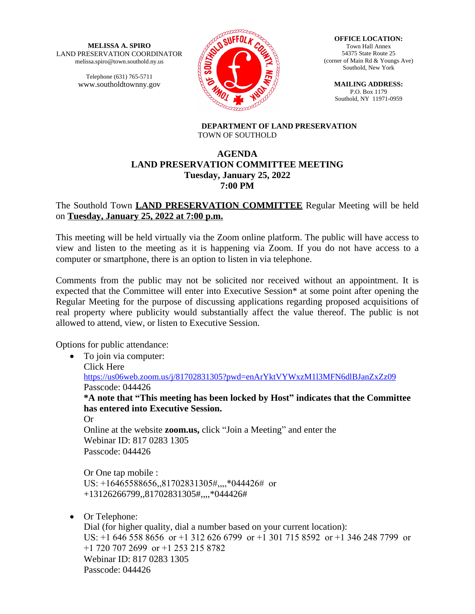**MELISSA A. SPIRO** LAND PRESERVATION COORDINATOR melissa.spiro@town.southold.ny.us

> Telephone (631) 765-5711 www.southoldtownny.gov



**OFFICE LOCATION:** Town Hall Annex 54375 State Route 25 (corner of Main Rd & Youngs Ave) Southold, New York

**MAILING ADDRESS:** P.O. Box 1179 Southold, NY 11971-0959

**DEPARTMENT OF LAND PRESERVATION** TOWN OF SOUTHOLD

# **AGENDA LAND PRESERVATION COMMITTEE MEETING Tuesday, January 25, 2022 7:00 PM**

# The Southold Town **LAND PRESERVATION COMMITTEE** Regular Meeting will be held on **Tuesday, January 25, 2022 at 7:00 p.m.**

This meeting will be held virtually via the Zoom online platform. The public will have access to view and listen to the meeting as it is happening via Zoom. If you do not have access to a computer or smartphone, there is an option to listen in via telephone.

Comments from the public may not be solicited nor received without an appointment. It is expected that the Committee will enter into Executive Session\* at some point after opening the Regular Meeting for the purpose of discussing applications regarding proposed acquisitions of real property where publicity would substantially affect the value thereof. The public is not allowed to attend, view, or listen to Executive Session.

Options for public attendance:

• To join via computer: Click Here <https://us06web.zoom.us/j/81702831305?pwd=enArYktVYWxzM1l3MFN6dlBJanZxZz09> Passcode: 044426 **\*A note that "This meeting has been locked by Host" indicates that the Committee has entered into Executive Session.** Or Online at the website **zoom.us,** click "Join a Meeting" and enter the Webinar ID: 817 0283 1305 Passcode: 044426

Or One tap mobile : US: +16465588656,,81702831305#,,,,\*044426# or +13126266799,,81702831305#,,,,\*044426#

• Or Telephone:

Dial (for higher quality, dial a number based on your current location): US: +1 646 558 8656 or +1 312 626 6799 or +1 301 715 8592 or +1 346 248 7799 or +1 720 707 2699 or +1 253 215 8782 Webinar ID: 817 0283 1305 Passcode: 044426